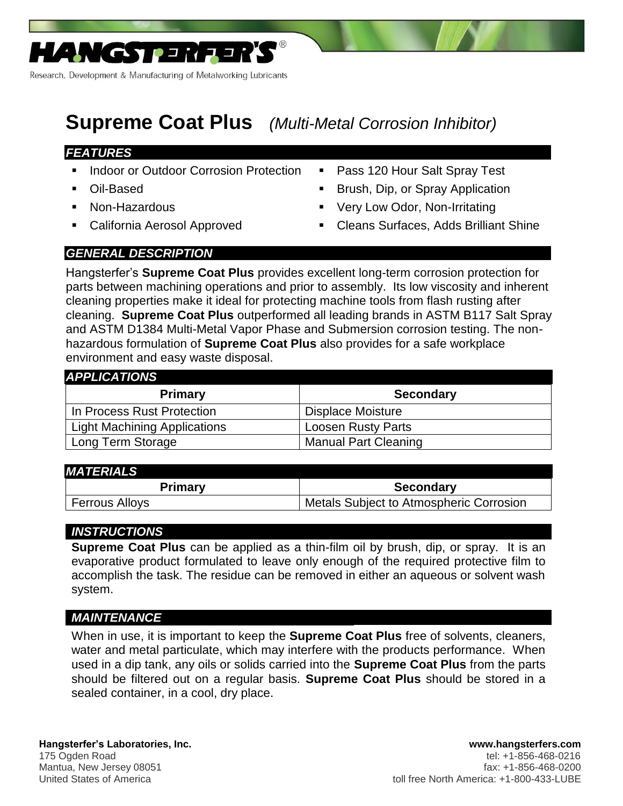

Research, Development & Manufacturing of Metalworking Lubricants

# **Supreme Coat Plus** *(Multi-Metal Corrosion Inhibitor)*

### *FEATURES*

- Indoor or Outdoor Corrosion Protection Pass 120 Hour Salt Spray Test
- 
- 
- 
- 
- Oil-Based **Brush, Dip, or Spray Application**
- Non-Hazardous **Very Low Odor, Non-Irritating**
- California Aerosol Approved Cleans Surfaces, Adds Brilliant Shine

## *GENERAL DESCRIPTION*

Hangsterfer's **Supreme Coat Plus** provides excellent long-term corrosion protection for parts between machining operations and prior to assembly. Its low viscosity and inherent cleaning properties make it ideal for protecting machine tools from flash rusting after cleaning. **Supreme Coat Plus** outperformed all leading brands in ASTM B117 Salt Spray and ASTM D1384 Multi-Metal Vapor Phase and Submersion corrosion testing. The nonhazardous formulation of **Supreme Coat Plus** also provides for a safe workplace environment and easy waste disposal.

| <b>APPLICATIONS</b>                 |                             |
|-------------------------------------|-----------------------------|
| <b>Primary</b>                      | <b>Secondary</b>            |
| In Process Rust Protection          | Displace Moisture           |
| <b>Light Machining Applications</b> | <b>Loosen Rusty Parts</b>   |
| Long Term Storage                   | <b>Manual Part Cleaning</b> |

#### *MATERIALS*

| Primary               | <b>Secondary</b>                        |
|-----------------------|-----------------------------------------|
| <b>Ferrous Alloys</b> | Metals Subject to Atmospheric Corrosion |

### *INSTRUCTIONS*

**Supreme Coat Plus** can be applied as a thin-film oil by brush, dip, or spray. It is an evaporative product formulated to leave only enough of the required protective film to accomplish the task. The residue can be removed in either an aqueous or solvent wash system.

### *MAINTENANCE*

When in use, it is important to keep the **Supreme Coat Plus** free of solvents, cleaners, water and metal particulate, which may interfere with the products performance. When used in a dip tank, any oils or solids carried into the **Supreme Coat Plus** from the parts should be filtered out on a regular basis. **Supreme Coat Plus** should be stored in a sealed container, in a cool, dry place.

#### **Hangsterfer's Laboratories, Inc. www.hangsterfers.com**  175 Ogden Road tel: +1-856-468-0216 Mantua, New Jersey 08051 fax: +1-856-468-0200 United States of America to the three North America: +1-800-433-LUBE